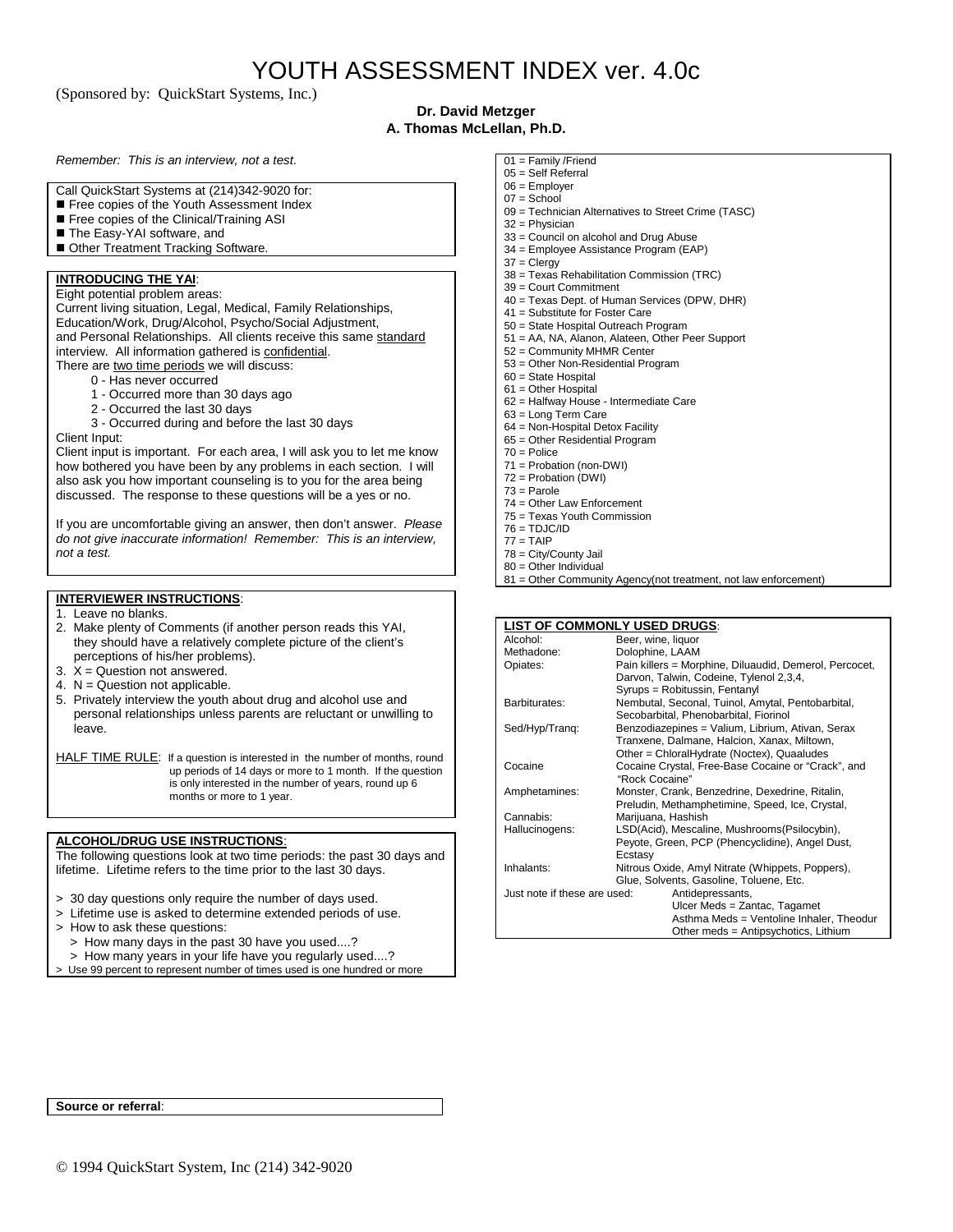(Sponsored by: QuickStart Systems, Inc.)

### **Dr. David Metzger A. Thomas McLellan, Ph.D.**

*Remember: This is an interview, not a test.*

- Call QuickStart Systems at (214)342-9020 for:
- Free copies of the Youth Assessment Index
- Free copies of the Clinical/Training ASI
- The Easy-YAI software, and
- Other Treatment Tracking Software.

#### **INTRODUCING THE YAI**:

Eight potential problem areas: Current living situation, Legal, Medical, Family Relationships, Education/Work, Drug/Alcohol, Psycho/Social Adjustment, and Personal Relationships. All clients receive this same standard interview. All information gathered is confidential. There are two time periods we will discuss:

- 0 Has never occurred
- 1 Occurred more than 30 days ago
- 2 Occurred the last 30 days

3 - Occurred during and before the last 30 days

Client Input: Client input is important. For each area, I will ask you to let me know how bothered you have been by any problems in each section. I will also ask you how important counseling is to you for the area being

discussed. The response to these questions will be a yes or no.

If you are uncomfortable giving an answer, then don't answer. *Please do not give inaccurate information! Remember: This is an interview, not a test.*

#### **INTERVIEWER INSTRUCTIONS**:

- 1. Leave no blanks.
- 2. Make plenty of Comments (if another person reads this YAI, they should have a relatively complete picture of the client's perceptions of his/her problems).
- 3.  $X =$  Question not answered.
- 4.  $N =$  Question not applicable.
- 5. Privately interview the youth about drug and alcohol use and personal relationships unless parents are reluctant or unwilling to leave.

HALF TIME RULE: If a question is interested in the number of months, round up periods of 14 days or more to 1 month. If the question is only interested in the number of years, round up 6 months or more to 1 year.

#### **ALCOHOL/DRUG USE INSTRUCTIONS**:

The following questions look at two time periods: the past 30 days and lifetime. Lifetime refers to the time prior to the last 30 days.

- > 30 day questions only require the number of days used.
- > Lifetime use is asked to determine extended periods of use.
- > How to ask these questions:
- > How many days in the past 30 have you used....?
- > How many years in your life have you regularly used....?
- > Use 99 percent to represent number of times used is one hundred or more
- 01 = Family /Friend
- 05 = Self Referral  $06 =$  Employer
- $07 =$ School
- 09 = Technician Alternatives to Street Crime (TASC)
- 32 = Physician
- 33 = Council on alcohol and Drug Abuse
- 34 = Employee Assistance Program (EAP)
- 37 = Clergy
- 38 = Texas Rehabilitation Commission (TRC)
- 39 = Court Commitment
- 40 = Texas Dept. of Human Services (DPW, DHR)
- 41 = Substitute for Foster Care
- 50 = State Hospital Outreach Program
- 51 = AA, NA, Alanon, Alateen, Other Peer Support
- 52 = Community MHMR Center
- 53 = Other Non-Residential Program
- 60 = State Hospital 61 = Other Hospital
- 62 = Halfway House Intermediate Care
- 63 = Long Term Care
- 64 = Non-Hospital Detox Facility
- 65 = Other Residential Program
- 70 = Police
- 71 = Probation (non-DWI)
- 72 = Probation (DWI)
- $73 =$ Parole
- 74 = Other Law Enforcement
- 75 = Texas Youth Commission
- $76 = TDJC/IP$
- $77 = TAIP$
- 78 = City/County Jail 80 = Other Individual
- 81 = Other Community Agency(not treatment, not law enforcement)

#### **LIST OF COMMONLY USED DRUGS**:

| Alcohol:                     | Beer, wine, liquor                                     |  |  |
|------------------------------|--------------------------------------------------------|--|--|
| Methadone:                   | Dolophine, LAAM                                        |  |  |
| Opiates:                     | Pain killers = Morphine, Diluaudid, Demerol, Percocet, |  |  |
|                              | Darvon, Talwin, Codeine, Tylenol 2,3,4,                |  |  |
|                              | Syrups = Robitussin, Fentanyl                          |  |  |
| Barbiturates:                | Nembutal, Seconal, Tuinol, Amytal, Pentobarbital,      |  |  |
|                              | Secobarbital, Phenobarbital, Fiorinol                  |  |  |
| Sed/Hyp/Trang:               | Benzodiazepines = Valium, Librium, Ativan, Serax       |  |  |
|                              | Tranxene, Dalmane, Halcion, Xanax, Miltown,            |  |  |
|                              | Other = ChloralHydrate (Noctex), Quaaludes             |  |  |
| Cocaine                      | Cocaine Crystal, Free-Base Cocaine or "Crack", and     |  |  |
|                              | "Rock Cocaine"                                         |  |  |
| Amphetamines:                | Monster, Crank, Benzedrine, Dexedrine, Ritalin,        |  |  |
|                              | Preludin, Methamphetimine, Speed, Ice, Crystal,        |  |  |
| Cannabis:                    | Marijuana, Hashish                                     |  |  |
| Hallucinogens:               | LSD(Acid), Mescaline, Mushrooms(Psilocybin),           |  |  |
|                              | Peyote, Green, PCP (Phencyclidine), Angel Dust,        |  |  |
|                              | Ecstasy                                                |  |  |
| Inhalants:                   | Nitrous Oxide, Amyl Nitrate (Whippets, Poppers),       |  |  |
|                              | Glue, Solvents, Gasoline, Toluene, Etc.                |  |  |
| Just note if these are used: | Antidepressants,                                       |  |  |
|                              | Ulcer Meds = Zantac, Tagamet                           |  |  |
|                              | Asthma Meds = Ventoline Inhaler, Theodur               |  |  |
|                              | Other meds = Antipsychotics, Lithium                   |  |  |

**Source or referral**: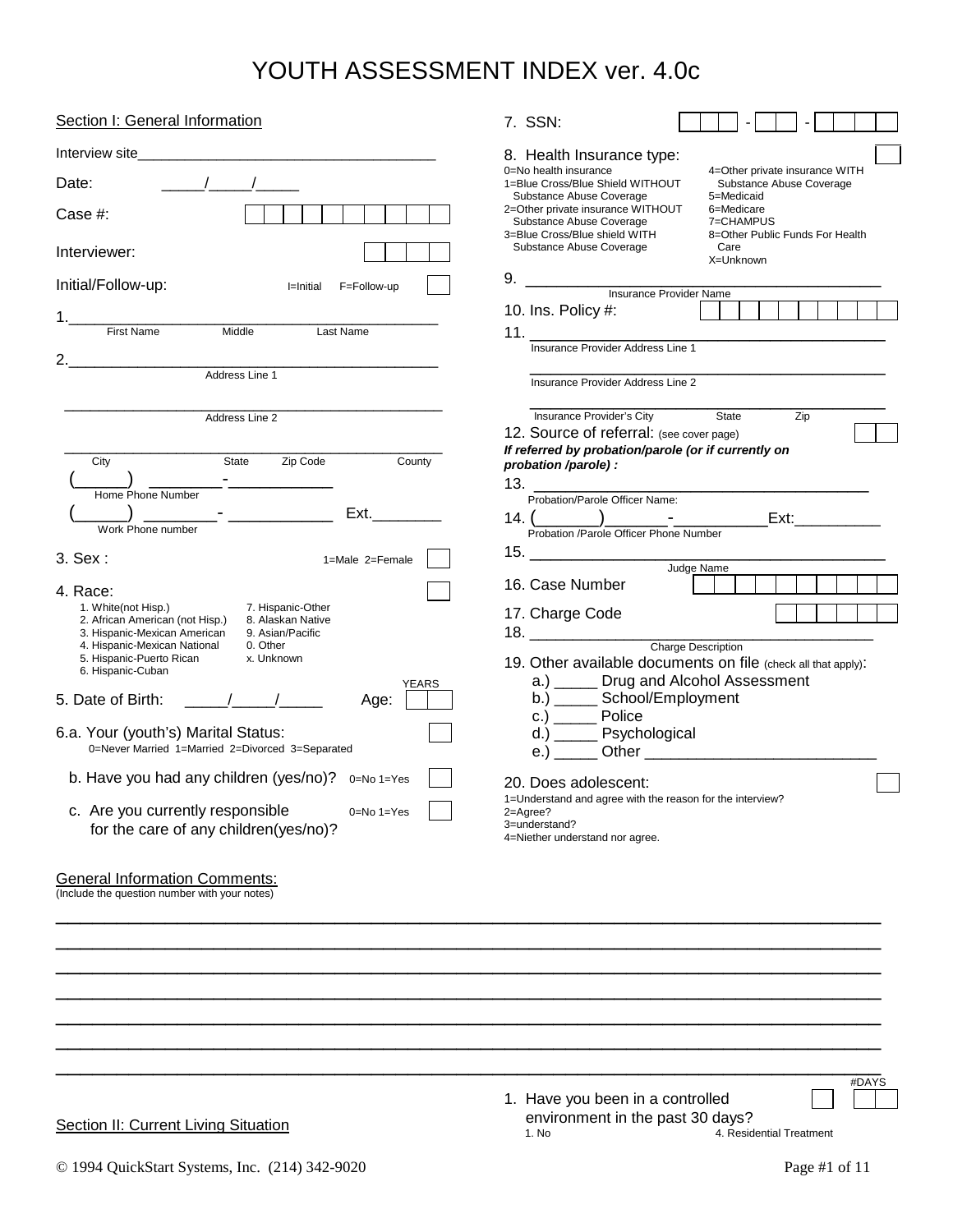| Section I: General Information                                                                                                                                                                                                                                                                                                                                                                                                                                                                                                                                                                                                                                                                                                                                                                                                                 | 7. SSN:                                                                                                                                                                                                                                                                                                                                                                                                                                                                                                                                                                                                                                                                                                                                            |
|------------------------------------------------------------------------------------------------------------------------------------------------------------------------------------------------------------------------------------------------------------------------------------------------------------------------------------------------------------------------------------------------------------------------------------------------------------------------------------------------------------------------------------------------------------------------------------------------------------------------------------------------------------------------------------------------------------------------------------------------------------------------------------------------------------------------------------------------|----------------------------------------------------------------------------------------------------------------------------------------------------------------------------------------------------------------------------------------------------------------------------------------------------------------------------------------------------------------------------------------------------------------------------------------------------------------------------------------------------------------------------------------------------------------------------------------------------------------------------------------------------------------------------------------------------------------------------------------------------|
| $\frac{1}{2}$<br>Date:<br>Case #:<br>Interviewer:<br>Initial/Follow-up:<br>I=Initial F=Follow-up                                                                                                                                                                                                                                                                                                                                                                                                                                                                                                                                                                                                                                                                                                                                               | 8. Health Insurance type:<br>0=No health insurance<br>4=Other private insurance WITH<br>1=Blue Cross/Blue Shield WITHOUT<br>Substance Abuse Coverage<br>Substance Abuse Coverage<br>5=Medicaid<br>2=Other private insurance WITHOUT<br>6=Medicare<br>Substance Abuse Coverage<br>7=CHAMPUS<br>3=Blue Cross/Blue shield WITH<br>8=Other Public Funds For Health<br>Substance Abuse Coverage<br>Care<br>X=Unknown<br>10. Ins. Policy #:                                                                                                                                                                                                                                                                                                              |
| <b>First Name</b><br>Middle<br>Last Name<br>2. $\overline{\phantom{a}2.}$<br>Address Line 1                                                                                                                                                                                                                                                                                                                                                                                                                                                                                                                                                                                                                                                                                                                                                    | Insurance Provider Address Line 1<br>Insurance Provider Address Line 2                                                                                                                                                                                                                                                                                                                                                                                                                                                                                                                                                                                                                                                                             |
| Address Line 2<br>Zip Code<br>County<br>State<br>City<br>Home Phone Number<br><u>.</u><br>Ext. <b>Ext</b><br>Work Phone number<br>3. Sex:<br>1=Male 2=Female<br>4. Race:<br>1. White(not Hisp.)<br>7. Hispanic-Other<br>2. African American (not Hisp.)<br>8. Alaskan Native<br>3. Hispanic-Mexican American<br>9. Asian/Pacific<br>4. Hispanic-Mexican National<br>0. Other<br>5. Hispanic-Puerto Rican<br>x. Unknown<br>6. Hispanic-Cuban<br><b>YEARS</b><br>5. Date of Birth: $\frac{1}{2}$ /<br>Age:<br>6.a. Your (youth's) Marital Status:<br>0=Never Married 1=Married 2=Divorced 3=Separated<br>b. Have you had any children (yes/no)? 0=No 1=Yes<br>c. Are you currently responsible<br>$0=No 1=Yes$<br>for the care of any children(yes/no)?<br><b>General Information Comments:</b><br>(Include the question number with your notes) | <b>Insurance Provider's City</b><br>State<br>Zip<br>12. Source of referral: (see cover page)<br>If referred by probation/parole (or if currently on<br>probation /parole) :<br>Probation/Parole Officer Name:<br>14. ( Probation /Parole Officer Phone Number<br>Frobation /Parole Officer Phone Number<br>16. Case Number<br>17. Charge Code<br>$18. \underline{\hspace{2cm}}$<br>Charge Description<br>19. Other available documents on file (check all that apply):<br>a.) ______ Drug and Alcohol Assessment<br>b.) _______ School/Employment<br>$c.)$ Police<br>d.) ______ Psychological<br>20. Does adolescent:<br>1=Understand and agree with the reason for the interview?<br>2=Agree?<br>3=understand?<br>4=Niether understand nor agree. |
|                                                                                                                                                                                                                                                                                                                                                                                                                                                                                                                                                                                                                                                                                                                                                                                                                                                |                                                                                                                                                                                                                                                                                                                                                                                                                                                                                                                                                                                                                                                                                                                                                    |

**Section II: Current Living Situation** 

1. Have you been in a controlled environment in the past 30 days?<br>1. No 4. Residential Treatment

#DAYS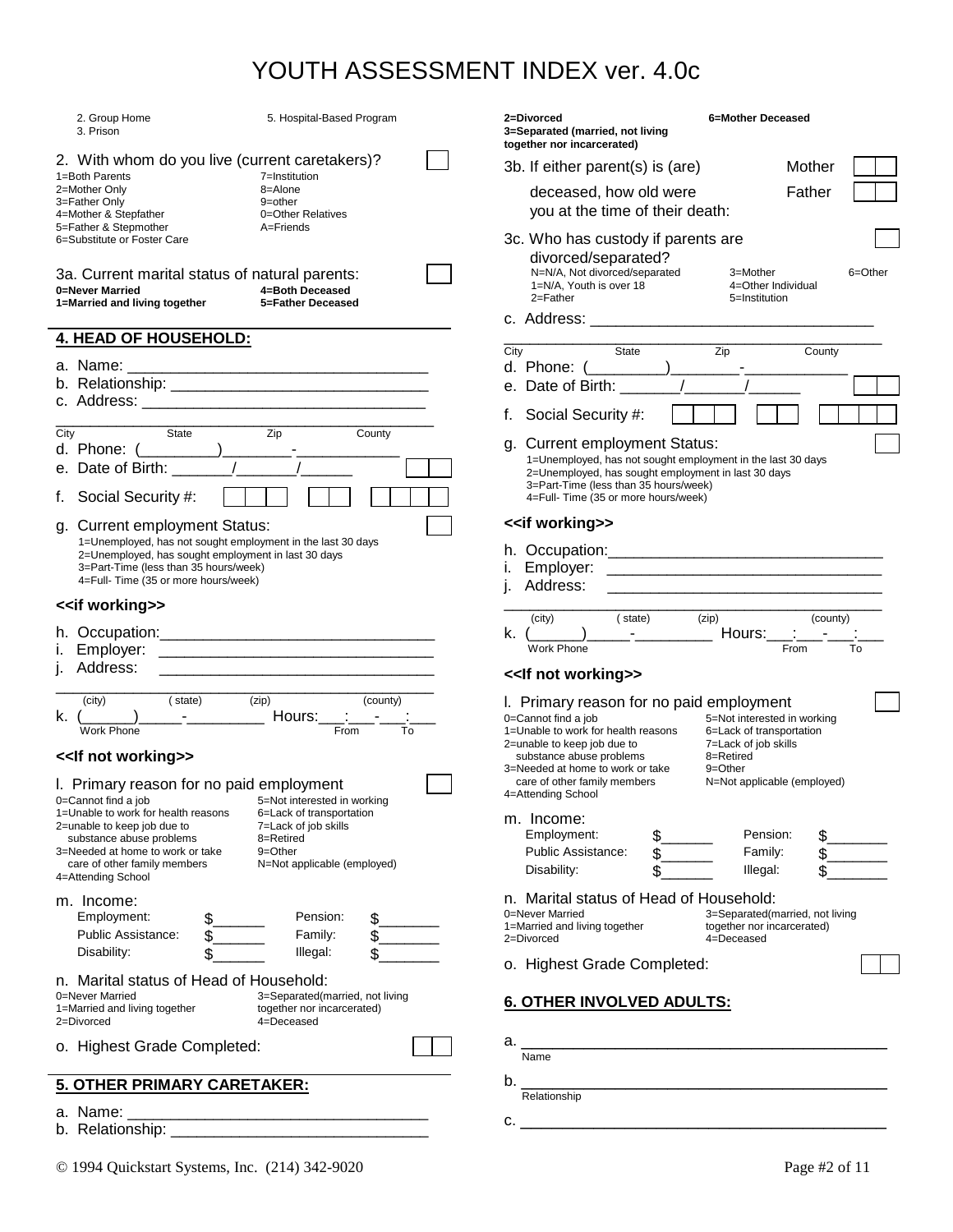| 2. Group Home<br>5. Hospital-Based Program<br>3. Prison                                                                                    | 2=Divorced<br>6=Mother Deceased<br>3=Separated (married, not living<br>together nor incarcerated)                                                           |
|--------------------------------------------------------------------------------------------------------------------------------------------|-------------------------------------------------------------------------------------------------------------------------------------------------------------|
| 2. With whom do you live (current caretakers)?                                                                                             | 3b. If either parent(s) is (are)<br>Mother                                                                                                                  |
| 1=Both Parents<br>7=Institution<br>2=Mother Only<br>8=Alone                                                                                | deceased, how old were<br>Father                                                                                                                            |
| 3=Father Only<br>9=other<br>4=Mother & Stepfather<br>0=Other Relatives                                                                     | you at the time of their death:                                                                                                                             |
| 5=Father & Stepmother<br>A=Friends                                                                                                         |                                                                                                                                                             |
| 6=Substitute or Foster Care                                                                                                                | 3c. Who has custody if parents are<br>divorced/separated?                                                                                                   |
| 3a. Current marital status of natural parents:<br>4=Both Deceased<br>0=Never Married<br>1=Married and living together<br>5=Father Deceased | N=N/A, Not divorced/separated<br>3=Mother<br>6=Other<br>1=N/A, Youth is over 18<br>4=Other Individual<br>$2 =$ Father<br>5=Institution                      |
| 4. HEAD OF HOUSEHOLD:                                                                                                                      |                                                                                                                                                             |
|                                                                                                                                            | Zip<br>County<br>State<br>City                                                                                                                              |
|                                                                                                                                            | d. Phone: (<br>$\sqrt{2}$                                                                                                                                   |
|                                                                                                                                            | e. Date of Birth: _____                                                                                                                                     |
|                                                                                                                                            | Social Security #:<br>t.                                                                                                                                    |
| Zip<br>City<br>State<br>County                                                                                                             | g. Current employment Status:                                                                                                                               |
| e. Date of Birth: $\qquad \qquad / \qquad \qquad /$                                                                                        | 1=Unemployed, has not sought employment in the last 30 days<br>2=Unemployed, has sought employment in last 30 days<br>3=Part-Time (less than 35 hours/week) |
| Social Security #:                                                                                                                         | 4=Full-Time (35 or more hours/week)                                                                                                                         |
| g. Current employment Status:                                                                                                              | < <if working="">&gt;</if>                                                                                                                                  |
| 1=Unemployed, has not sought employment in the last 30 days                                                                                |                                                                                                                                                             |
| 2=Unemployed, has sought employment in last 30 days<br>3=Part-Time (less than 35 hours/week)                                               | L.                                                                                                                                                          |
| 4=Full-Time (35 or more hours/week)                                                                                                        |                                                                                                                                                             |
| < <if working="">&gt;</if>                                                                                                                 |                                                                                                                                                             |
|                                                                                                                                            | (zip)<br>(city)<br>(state)<br>(county)<br>Hours:__ :<br>$k.$ ( )                                                                                            |
|                                                                                                                                            | <b>Work Phone</b><br>From<br>To                                                                                                                             |
| Address:<br><u> 1988 - Jan Barnett, fransk politik (d. 1988)</u>                                                                           | << If not working>>                                                                                                                                         |
| (city)<br>(state)<br>(zip)<br>(county)                                                                                                     | I. Primary reason for no paid employment                                                                                                                    |
|                                                                                                                                            | 0=Cannot find a job<br>5=Not interested in working                                                                                                          |
| Work Phone<br>From<br>To                                                                                                                   | 1=Unable to work for health reasons<br>6=Lack of transportation<br>7=Lack of job skills                                                                     |
| << If not working>>                                                                                                                        | 2=unable to keep job due to<br>8=Retired<br>substance abuse problems                                                                                        |
|                                                                                                                                            | 3=Needed at home to work or take<br>9=Other<br>care of other family members<br>N=Not applicable (employed)                                                  |
| I. Primary reason for no paid employment<br>5=Not interested in working<br>0=Cannot find a job                                             | 4=Attending School                                                                                                                                          |
| 1=Unable to work for health reasons<br>6=Lack of transportation                                                                            | m. Income:                                                                                                                                                  |
| 7=Lack of job skills<br>2=unable to keep job due to<br>substance abuse problems<br>8=Retired                                               | Employment:<br>Pension:                                                                                                                                     |
| 3=Needed at home to work or take<br>9=Other                                                                                                | Public Assistance:<br>Family:                                                                                                                               |
| N=Not applicable (employed)<br>care of other family members<br>4=Attending School                                                          | Disability:<br>Illegal:<br>\$                                                                                                                               |
| m. Income:                                                                                                                                 | n. Marital status of Head of Household:                                                                                                                     |
| Pension:<br>Employment:<br>\$_                                                                                                             | 0=Never Married<br>3=Separated(married, not living                                                                                                          |
| <b>Public Assistance:</b><br>Family:                                                                                                       | 1=Married and living together<br>together nor incarcerated)<br>2=Divorced<br>4=Deceased                                                                     |
| Disability:<br>Illegal:<br>\$                                                                                                              |                                                                                                                                                             |
| n. Marital status of Head of Household:                                                                                                    | o. Highest Grade Completed:                                                                                                                                 |
| 0=Never Married<br>3=Separated(married, not living                                                                                         | <b>6. OTHER INVOLVED ADULTS:</b>                                                                                                                            |
| together nor incarcerated)<br>1=Married and living together<br>2=Divorced<br>4=Deceased                                                    |                                                                                                                                                             |
| o. Highest Grade Completed:                                                                                                                | Name                                                                                                                                                        |
|                                                                                                                                            | b.<br><u> 1989 - Johann John Stone, mars et al. 1989 - John Stone, mars et al. 1989 - John Stone, mars et al. 1989 - Joh</u>                                |
| <b>5. OTHER PRIMARY CARETAKER:</b>                                                                                                         | Relationship                                                                                                                                                |
| a. Name: __                                                                                                                                | $C.$ $\overline{\phantom{a}}$                                                                                                                               |
|                                                                                                                                            |                                                                                                                                                             |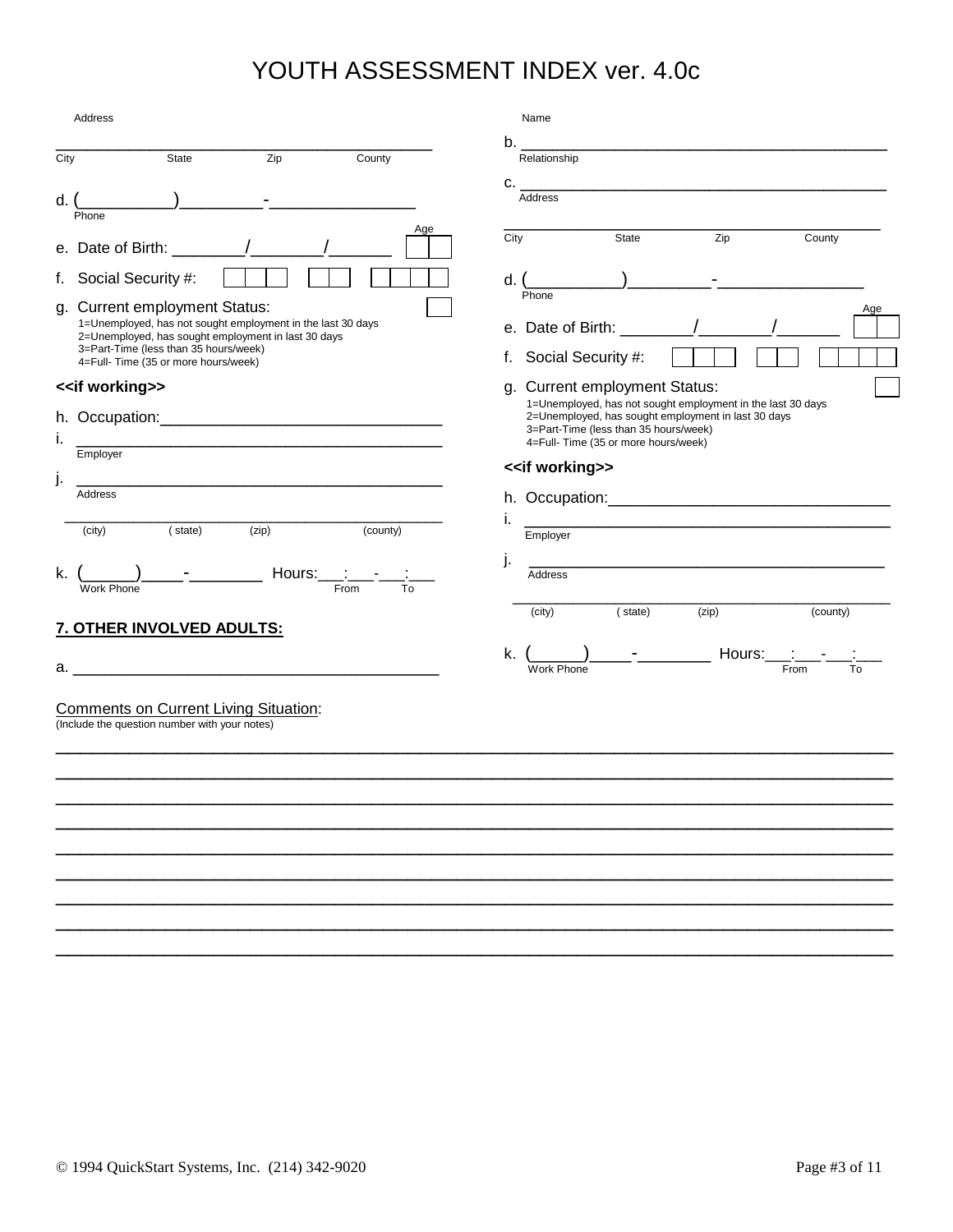| Address                                                                                                                                                                                                                                                                                                                                                                                                       | Name                                                                                                                                                                                                                                |
|---------------------------------------------------------------------------------------------------------------------------------------------------------------------------------------------------------------------------------------------------------------------------------------------------------------------------------------------------------------------------------------------------------------|-------------------------------------------------------------------------------------------------------------------------------------------------------------------------------------------------------------------------------------|
| State<br>Zip<br>County<br>City                                                                                                                                                                                                                                                                                                                                                                                | Relationship                                                                                                                                                                                                                        |
| $\overline{\phantom{a}}$<br>d.<br>Phone                                                                                                                                                                                                                                                                                                                                                                       | Address                                                                                                                                                                                                                             |
| Age<br>e. Date of Birth: $\frac{1}{\sqrt{1-\frac{1}{1-\frac{1}{1-\frac{1}{1-\frac{1}{1-\frac{1}{1-\frac{1}{1-\frac{1}{1-\frac{1}{1-\frac{1}{1-\frac{1}{1-\frac{1}{1-\frac{1}{1-\frac{1}{1-\frac{1}{1-\frac{1}{1-\frac{1}{1-\frac{1}{1-\frac{1}{1-\frac{1}{1-\frac{1}{1-\frac{1}{1-\frac{1}{1-\frac{1}{1-\frac{1}{1-\frac{1}{1-\frac{1}{1-\frac{1}{1-\frac{1}{1-\frac{1}{1-\frac{1}{1-\frac{1}{1-\frac{1}{1-\$ | State<br>Zip<br>County<br>City                                                                                                                                                                                                      |
| f. Social Security #:                                                                                                                                                                                                                                                                                                                                                                                         | d. (                                                                                                                                                                                                                                |
| g. Current employment Status:<br>1=Unemployed, has not sought employment in the last 30 days<br>2=Unemployed, has sought employment in last 30 days<br>3=Part-Time (less than 35 hours/week)<br>4=Full-Time (35 or more hours/week)                                                                                                                                                                           | Phone<br>Age<br>e. Date of Birth: $\frac{1}{2}$ / /<br>f. Social Security #:                                                                                                                                                        |
| < <if working="">&gt;<br/>İ.<br/>Employer</if>                                                                                                                                                                                                                                                                                                                                                                | g. Current employment Status:<br>1=Unemployed, has not sought employment in the last 30 days<br>2=Unemployed, has sought employment in last 30 days<br>3=Part-Time (less than 35 hours/week)<br>4=Full-Time (35 or more hours/week) |
| j.                                                                                                                                                                                                                                                                                                                                                                                                            | < <if working="">&gt;</if>                                                                                                                                                                                                          |
| Address<br>(zip)<br>(county)<br>(city)<br>(state)<br>$\mathbf{F}$ and $\mathbf{F}$ and $\mathbf{F}$<br>Hours: $\qquad \qquad \vdots$<br>k.<br>From<br>To<br>Work Phone                                                                                                                                                                                                                                        | Τ.<br>Employer<br>j.<br><u> 1990 - Johann John Stone, mars et al. 1990 - John Stone, mars et al. 1990 - John Stone, mars et al. 1990 - Joh</u><br><b>Address</b>                                                                    |
| 7. OTHER INVOLVED ADULTS:                                                                                                                                                                                                                                                                                                                                                                                     | (state)<br>(zip)<br>(county)<br>(city)                                                                                                                                                                                              |
|                                                                                                                                                                                                                                                                                                                                                                                                               | ______)_____- <sub>_</sub> _________ Hours:____:___- <sub>____</sub><br>k.<br><b>Work Phone</b><br>From<br>To                                                                                                                       |
| <b>Comments on Current Living Situation:</b><br>(Include the question number with your notes)                                                                                                                                                                                                                                                                                                                 |                                                                                                                                                                                                                                     |
|                                                                                                                                                                                                                                                                                                                                                                                                               |                                                                                                                                                                                                                                     |
|                                                                                                                                                                                                                                                                                                                                                                                                               |                                                                                                                                                                                                                                     |
|                                                                                                                                                                                                                                                                                                                                                                                                               |                                                                                                                                                                                                                                     |
|                                                                                                                                                                                                                                                                                                                                                                                                               |                                                                                                                                                                                                                                     |
|                                                                                                                                                                                                                                                                                                                                                                                                               |                                                                                                                                                                                                                                     |

\_\_\_\_\_\_\_\_\_\_\_\_\_\_\_\_\_\_\_\_\_\_\_\_\_\_\_\_\_\_\_\_\_\_\_\_\_\_\_\_\_\_\_\_\_\_\_\_\_\_\_\_\_\_\_\_\_\_\_\_\_\_\_\_\_\_\_\_\_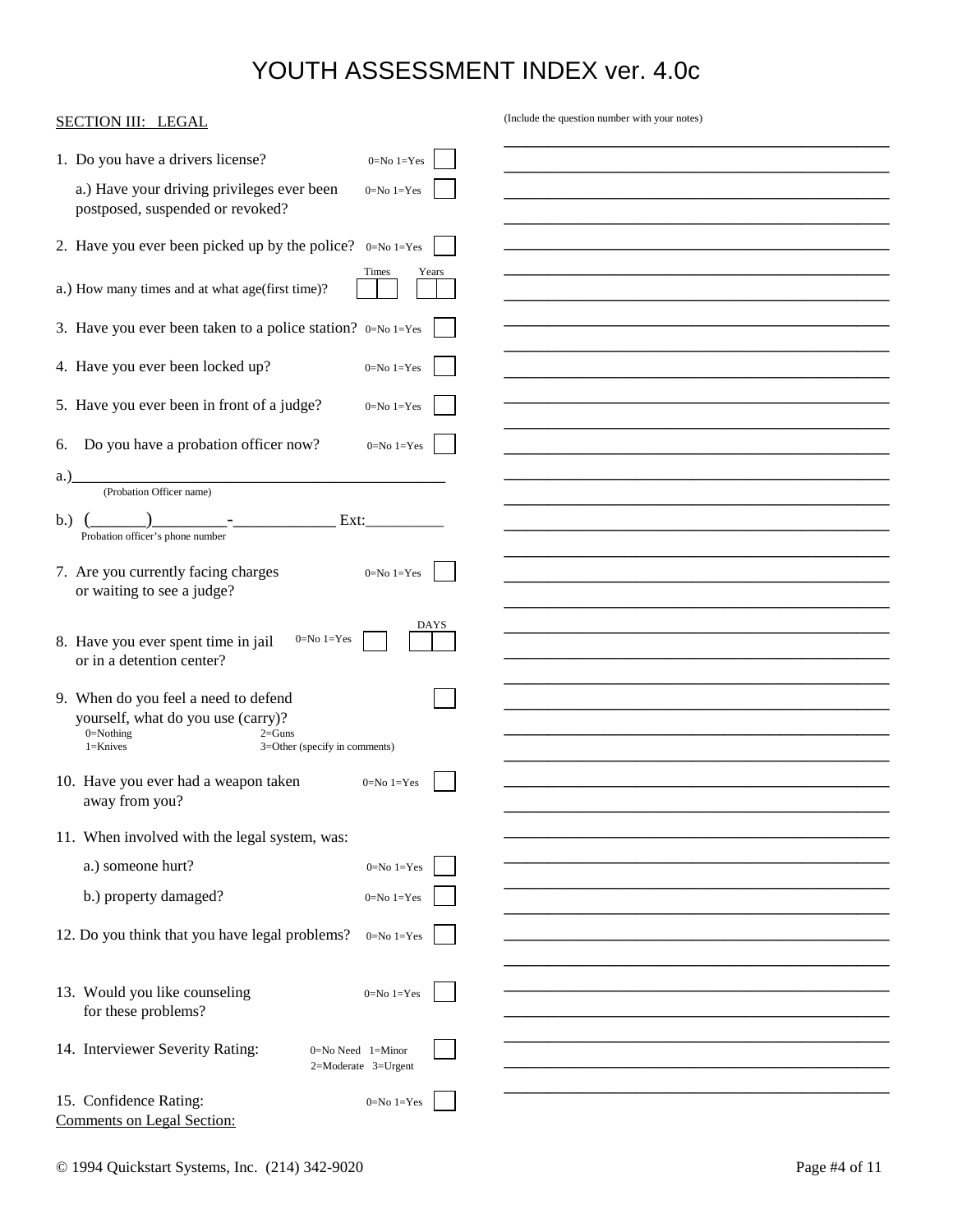| 1. Do you have a drivers license?<br>$0 = No 1 = Yes$<br>a.) Have your driving privileges ever been<br>$0=No 1=Yes$<br>postposed, suspended or revoked?<br>2. Have you ever been picked up by the police? 0=No 1=Yes<br>Times<br>Years<br>a.) How many times and at what age(first time)?<br>3. Have you ever been taken to a police station? 0=No 1=Yes<br>4. Have you ever been locked up?<br>$0=No 1=Yes$<br>5. Have you ever been in front of a judge?<br>$0=No 1=Yes$<br>Do you have a probation officer now?<br>6.<br>$0=No 1=Yes$<br>a.)<br>(Probation Officer name)<br>b.)<br>Ext:<br>Probation officer's phone number<br>7. Are you currently facing charges<br>$0 = No 1 = Yes$<br>or waiting to see a judge?<br>DAYS<br>$0=No 1=Yes$<br>8. Have you ever spent time in jail<br>or in a detention center?<br>9. When do you feel a need to defend<br>yourself, what do you use (carry)?<br>$0 =$ Nothing<br>$2 = Guns$<br>$1 =$ Knives<br>3=Other (specify in comments)<br>10. Have you ever had a weapon taken<br>$0=No 1=Yes$<br>away from you?<br>11. When involved with the legal system, was:<br>a.) someone hurt?<br>$0 = No 1 = Yes$<br>b.) property damaged?<br>0=No $1=$ Yes<br>12. Do you think that you have legal problems?<br>$0 = No 1 = Yes$<br>13. Would you like counseling<br>$0 = No 1 = Yes$<br>for these problems?<br>14. Interviewer Severity Rating:<br>$0 = No$ Need $1 = Minor$<br>$2=$ Moderate $3=U$ rgent<br>15. Confidence Rating:<br>0=No 1=Yes | <b>SECTION III: LEGAL</b>         | (Include the question number with your notes) |
|-----------------------------------------------------------------------------------------------------------------------------------------------------------------------------------------------------------------------------------------------------------------------------------------------------------------------------------------------------------------------------------------------------------------------------------------------------------------------------------------------------------------------------------------------------------------------------------------------------------------------------------------------------------------------------------------------------------------------------------------------------------------------------------------------------------------------------------------------------------------------------------------------------------------------------------------------------------------------------------------------------------------------------------------------------------------------------------------------------------------------------------------------------------------------------------------------------------------------------------------------------------------------------------------------------------------------------------------------------------------------------------------------------------------------------------------------------------------------------------------|-----------------------------------|-----------------------------------------------|
|                                                                                                                                                                                                                                                                                                                                                                                                                                                                                                                                                                                                                                                                                                                                                                                                                                                                                                                                                                                                                                                                                                                                                                                                                                                                                                                                                                                                                                                                                         |                                   |                                               |
|                                                                                                                                                                                                                                                                                                                                                                                                                                                                                                                                                                                                                                                                                                                                                                                                                                                                                                                                                                                                                                                                                                                                                                                                                                                                                                                                                                                                                                                                                         |                                   |                                               |
|                                                                                                                                                                                                                                                                                                                                                                                                                                                                                                                                                                                                                                                                                                                                                                                                                                                                                                                                                                                                                                                                                                                                                                                                                                                                                                                                                                                                                                                                                         |                                   |                                               |
|                                                                                                                                                                                                                                                                                                                                                                                                                                                                                                                                                                                                                                                                                                                                                                                                                                                                                                                                                                                                                                                                                                                                                                                                                                                                                                                                                                                                                                                                                         |                                   |                                               |
|                                                                                                                                                                                                                                                                                                                                                                                                                                                                                                                                                                                                                                                                                                                                                                                                                                                                                                                                                                                                                                                                                                                                                                                                                                                                                                                                                                                                                                                                                         |                                   |                                               |
|                                                                                                                                                                                                                                                                                                                                                                                                                                                                                                                                                                                                                                                                                                                                                                                                                                                                                                                                                                                                                                                                                                                                                                                                                                                                                                                                                                                                                                                                                         |                                   |                                               |
|                                                                                                                                                                                                                                                                                                                                                                                                                                                                                                                                                                                                                                                                                                                                                                                                                                                                                                                                                                                                                                                                                                                                                                                                                                                                                                                                                                                                                                                                                         |                                   |                                               |
|                                                                                                                                                                                                                                                                                                                                                                                                                                                                                                                                                                                                                                                                                                                                                                                                                                                                                                                                                                                                                                                                                                                                                                                                                                                                                                                                                                                                                                                                                         |                                   |                                               |
|                                                                                                                                                                                                                                                                                                                                                                                                                                                                                                                                                                                                                                                                                                                                                                                                                                                                                                                                                                                                                                                                                                                                                                                                                                                                                                                                                                                                                                                                                         |                                   |                                               |
|                                                                                                                                                                                                                                                                                                                                                                                                                                                                                                                                                                                                                                                                                                                                                                                                                                                                                                                                                                                                                                                                                                                                                                                                                                                                                                                                                                                                                                                                                         |                                   |                                               |
|                                                                                                                                                                                                                                                                                                                                                                                                                                                                                                                                                                                                                                                                                                                                                                                                                                                                                                                                                                                                                                                                                                                                                                                                                                                                                                                                                                                                                                                                                         |                                   |                                               |
|                                                                                                                                                                                                                                                                                                                                                                                                                                                                                                                                                                                                                                                                                                                                                                                                                                                                                                                                                                                                                                                                                                                                                                                                                                                                                                                                                                                                                                                                                         |                                   |                                               |
|                                                                                                                                                                                                                                                                                                                                                                                                                                                                                                                                                                                                                                                                                                                                                                                                                                                                                                                                                                                                                                                                                                                                                                                                                                                                                                                                                                                                                                                                                         |                                   |                                               |
|                                                                                                                                                                                                                                                                                                                                                                                                                                                                                                                                                                                                                                                                                                                                                                                                                                                                                                                                                                                                                                                                                                                                                                                                                                                                                                                                                                                                                                                                                         |                                   |                                               |
|                                                                                                                                                                                                                                                                                                                                                                                                                                                                                                                                                                                                                                                                                                                                                                                                                                                                                                                                                                                                                                                                                                                                                                                                                                                                                                                                                                                                                                                                                         |                                   |                                               |
|                                                                                                                                                                                                                                                                                                                                                                                                                                                                                                                                                                                                                                                                                                                                                                                                                                                                                                                                                                                                                                                                                                                                                                                                                                                                                                                                                                                                                                                                                         |                                   |                                               |
|                                                                                                                                                                                                                                                                                                                                                                                                                                                                                                                                                                                                                                                                                                                                                                                                                                                                                                                                                                                                                                                                                                                                                                                                                                                                                                                                                                                                                                                                                         |                                   |                                               |
|                                                                                                                                                                                                                                                                                                                                                                                                                                                                                                                                                                                                                                                                                                                                                                                                                                                                                                                                                                                                                                                                                                                                                                                                                                                                                                                                                                                                                                                                                         |                                   |                                               |
|                                                                                                                                                                                                                                                                                                                                                                                                                                                                                                                                                                                                                                                                                                                                                                                                                                                                                                                                                                                                                                                                                                                                                                                                                                                                                                                                                                                                                                                                                         |                                   |                                               |
|                                                                                                                                                                                                                                                                                                                                                                                                                                                                                                                                                                                                                                                                                                                                                                                                                                                                                                                                                                                                                                                                                                                                                                                                                                                                                                                                                                                                                                                                                         |                                   |                                               |
|                                                                                                                                                                                                                                                                                                                                                                                                                                                                                                                                                                                                                                                                                                                                                                                                                                                                                                                                                                                                                                                                                                                                                                                                                                                                                                                                                                                                                                                                                         |                                   |                                               |
|                                                                                                                                                                                                                                                                                                                                                                                                                                                                                                                                                                                                                                                                                                                                                                                                                                                                                                                                                                                                                                                                                                                                                                                                                                                                                                                                                                                                                                                                                         |                                   |                                               |
|                                                                                                                                                                                                                                                                                                                                                                                                                                                                                                                                                                                                                                                                                                                                                                                                                                                                                                                                                                                                                                                                                                                                                                                                                                                                                                                                                                                                                                                                                         |                                   |                                               |
|                                                                                                                                                                                                                                                                                                                                                                                                                                                                                                                                                                                                                                                                                                                                                                                                                                                                                                                                                                                                                                                                                                                                                                                                                                                                                                                                                                                                                                                                                         |                                   |                                               |
|                                                                                                                                                                                                                                                                                                                                                                                                                                                                                                                                                                                                                                                                                                                                                                                                                                                                                                                                                                                                                                                                                                                                                                                                                                                                                                                                                                                                                                                                                         |                                   |                                               |
|                                                                                                                                                                                                                                                                                                                                                                                                                                                                                                                                                                                                                                                                                                                                                                                                                                                                                                                                                                                                                                                                                                                                                                                                                                                                                                                                                                                                                                                                                         |                                   |                                               |
|                                                                                                                                                                                                                                                                                                                                                                                                                                                                                                                                                                                                                                                                                                                                                                                                                                                                                                                                                                                                                                                                                                                                                                                                                                                                                                                                                                                                                                                                                         |                                   |                                               |
|                                                                                                                                                                                                                                                                                                                                                                                                                                                                                                                                                                                                                                                                                                                                                                                                                                                                                                                                                                                                                                                                                                                                                                                                                                                                                                                                                                                                                                                                                         |                                   |                                               |
|                                                                                                                                                                                                                                                                                                                                                                                                                                                                                                                                                                                                                                                                                                                                                                                                                                                                                                                                                                                                                                                                                                                                                                                                                                                                                                                                                                                                                                                                                         |                                   |                                               |
|                                                                                                                                                                                                                                                                                                                                                                                                                                                                                                                                                                                                                                                                                                                                                                                                                                                                                                                                                                                                                                                                                                                                                                                                                                                                                                                                                                                                                                                                                         |                                   |                                               |
|                                                                                                                                                                                                                                                                                                                                                                                                                                                                                                                                                                                                                                                                                                                                                                                                                                                                                                                                                                                                                                                                                                                                                                                                                                                                                                                                                                                                                                                                                         |                                   |                                               |
|                                                                                                                                                                                                                                                                                                                                                                                                                                                                                                                                                                                                                                                                                                                                                                                                                                                                                                                                                                                                                                                                                                                                                                                                                                                                                                                                                                                                                                                                                         |                                   |                                               |
|                                                                                                                                                                                                                                                                                                                                                                                                                                                                                                                                                                                                                                                                                                                                                                                                                                                                                                                                                                                                                                                                                                                                                                                                                                                                                                                                                                                                                                                                                         |                                   |                                               |
|                                                                                                                                                                                                                                                                                                                                                                                                                                                                                                                                                                                                                                                                                                                                                                                                                                                                                                                                                                                                                                                                                                                                                                                                                                                                                                                                                                                                                                                                                         | <b>Comments on Legal Section:</b> |                                               |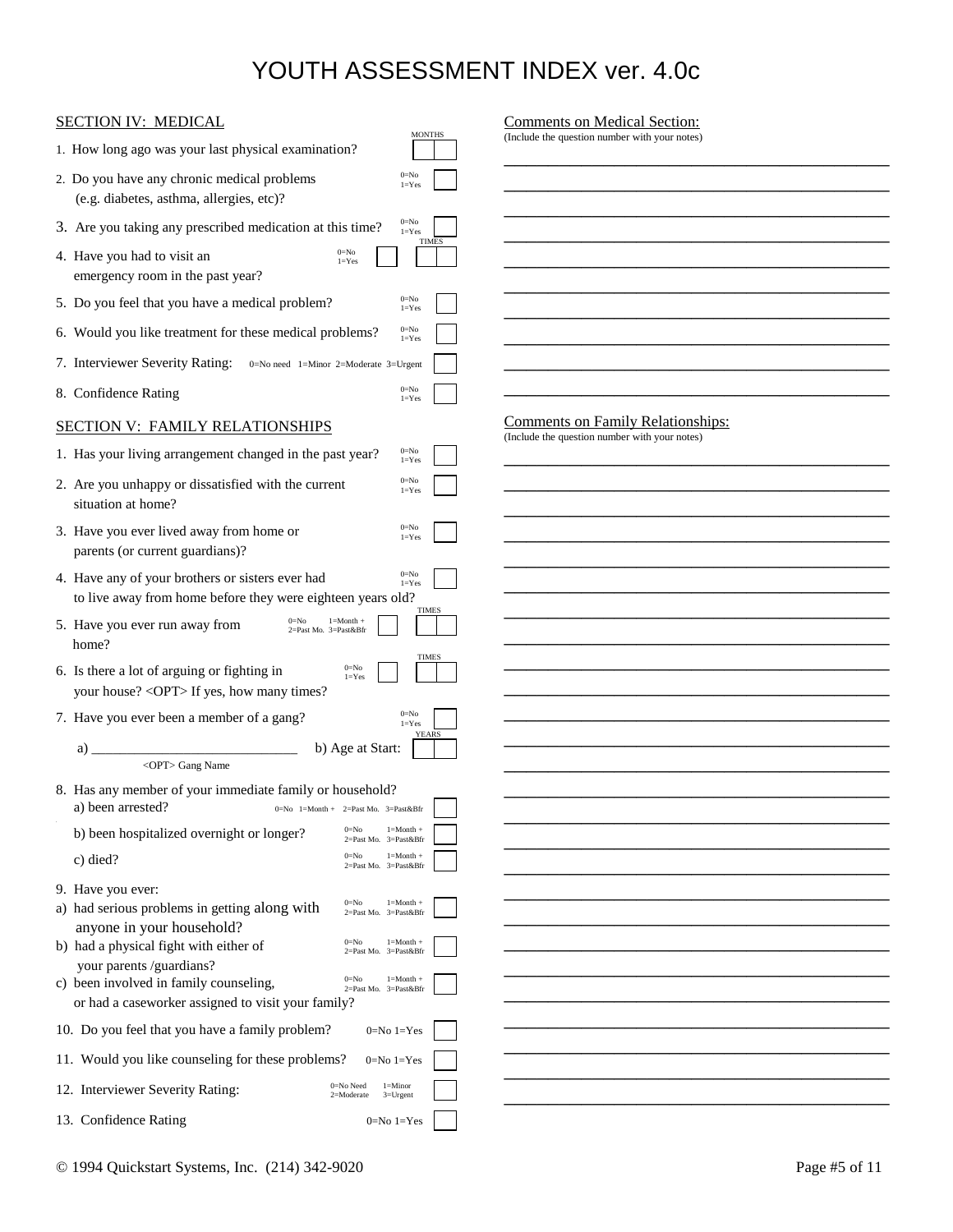| <b>SECTION IV: MEDICAL</b>                                                                                                                         | <b>Comments on Medical Section:</b>                                                       |
|----------------------------------------------------------------------------------------------------------------------------------------------------|-------------------------------------------------------------------------------------------|
| <b>MONTHS</b><br>1. How long ago was your last physical examination?                                                                               | (Include the question number with your notes)                                             |
| $0=$ No<br>2. Do you have any chronic medical problems<br>$l = Yes$<br>(e.g. diabetes, asthma, allergies, etc)?                                    |                                                                                           |
| $0=$ No<br>3. Are you taking any prescribed medication at this time?<br>$1 = Yes$                                                                  |                                                                                           |
| <b>TIMES</b><br>$0=$ No<br>4. Have you had to visit an<br>$1 = Yes$<br>emergency room in the past year?                                            |                                                                                           |
| $0 = No$<br>5. Do you feel that you have a medical problem?<br>$l = Yes$                                                                           |                                                                                           |
| $0 = No$<br>6. Would you like treatment for these medical problems?<br>$l = Yes$                                                                   |                                                                                           |
| 7. Interviewer Severity Rating:<br>0=No need 1=Minor 2=Moderate 3=Urgent                                                                           |                                                                                           |
| $0 = No$<br>8. Confidence Rating<br>$l = Yes$                                                                                                      |                                                                                           |
| <b>SECTION V: FAMILY RELATIONSHIPS</b>                                                                                                             | <b>Comments on Family Relationships:</b><br>(Include the question number with your notes) |
| $0 = No$<br>1. Has your living arrangement changed in the past year?<br>$l = Yes$                                                                  |                                                                                           |
| $0=$ No<br>2. Are you unhappy or dissatisfied with the current<br>$l = Yes$<br>situation at home?                                                  |                                                                                           |
| $0=$ No<br>3. Have you ever lived away from home or<br>$l = Yes$<br>parents (or current guardians)?                                                |                                                                                           |
| $0=$ No<br>4. Have any of your brothers or sisters ever had<br>$1 = Yes$<br>to live away from home before they were eighteen years old?            |                                                                                           |
| TIMES<br>$1 = M$ onth +<br>5. Have you ever run away from<br>2=Past Mo. 3=Past𝔅<br>home?                                                           |                                                                                           |
| <b>TIMES</b><br>$0=$ No<br>6. Is there a lot of arguing or fighting in<br>$l = Yes$<br>your house? < OPT> If yes, how many times?                  |                                                                                           |
| $0=$ No<br>7. Have you ever been a member of a gang?<br>$1 = Yes$                                                                                  |                                                                                           |
| <b>YEARS</b><br>b) Age at Start:<br>a)                                                                                                             |                                                                                           |
| <opt> Gang Name</opt>                                                                                                                              |                                                                                           |
| 8. Has any member of your immediate family or household?<br>a) been arrested? $0=N_0 1=M\nonumber$ onth + 2=Past Mo. 3=Past𝔅                       |                                                                                           |
| $0=$ No<br>$1 = Month +$<br>b) been hospitalized overnight or longer?<br>2=Past Mo. 3=Past𝔅                                                        |                                                                                           |
| $0 = No$<br>$1 = M$ onth +<br>c) died?<br>2=Past Mo. 3=Past𝔅                                                                                       |                                                                                           |
| 9. Have you ever:                                                                                                                                  |                                                                                           |
| $1 = M$ onth +<br>$0=$ No<br>a) had serious problems in getting along with<br>2=Past Mo. 3=Past𝔅                                                   |                                                                                           |
| anyone in your household?<br>$0=$ No<br>$1 = M \cdot h +$<br>b) had a physical fight with either of<br>2=Past Mo. 3=Past𝔅                          |                                                                                           |
| your parents /guardians?                                                                                                                           |                                                                                           |
| $0=$ No<br>$1 = M \cdot h +$<br>c) been involved in family counseling,<br>2=Past Mo. 3=Past𝔅<br>or had a caseworker assigned to visit your family? |                                                                                           |
| 10. Do you feel that you have a family problem?<br>$0=No 1=Yes$                                                                                    |                                                                                           |
| 11. Would you like counseling for these problems?<br>$0=No 1=Yes$                                                                                  |                                                                                           |
| 0=No Need<br>$1 =$ Minor<br>12. Interviewer Severity Rating:                                                                                       |                                                                                           |
| 2=Moderate<br>$3 = U$ rgent                                                                                                                        |                                                                                           |
| 13. Confidence Rating<br>$0=No 1=Yes$                                                                                                              |                                                                                           |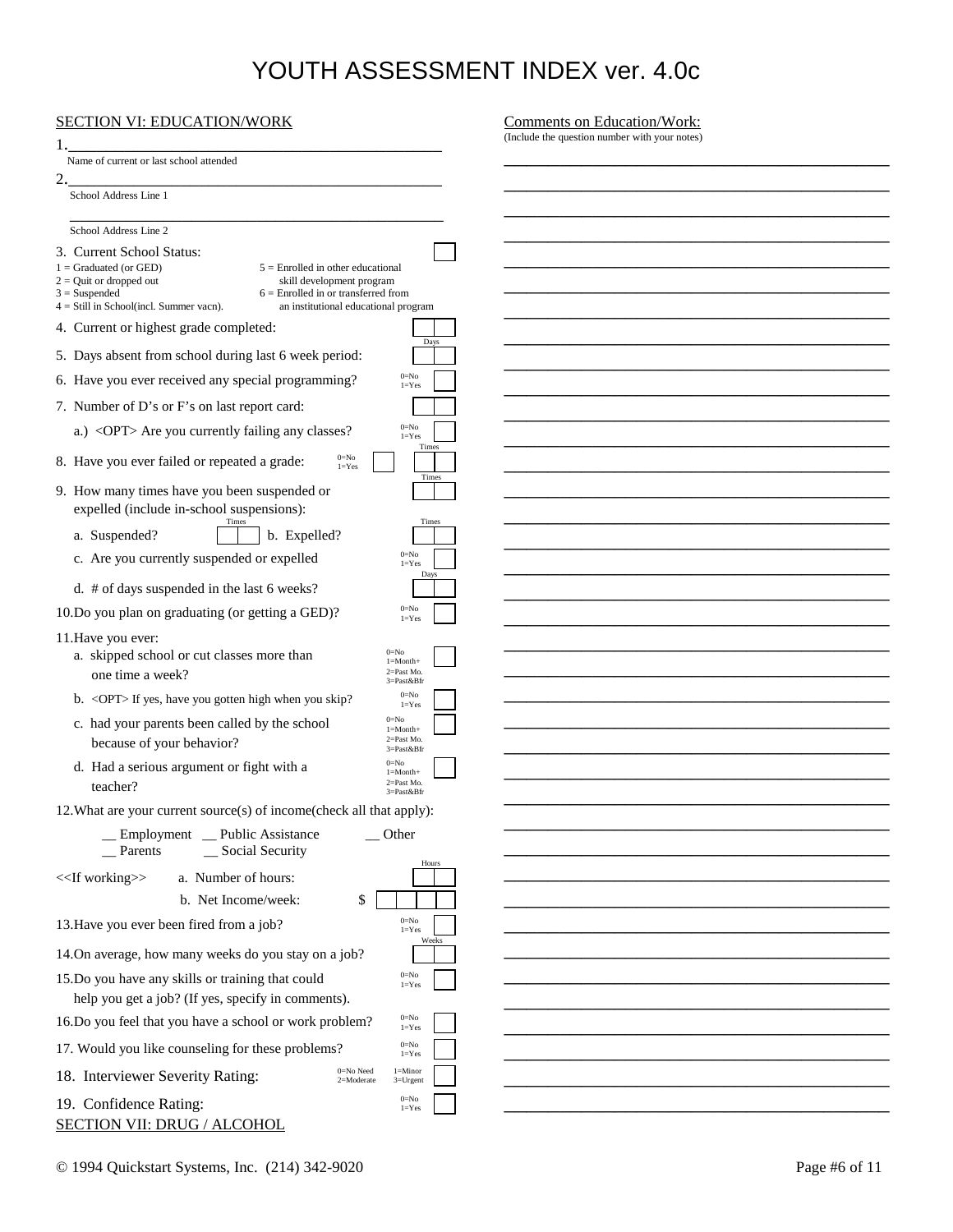| <b>SECTION VI: EDUCATION/WORK</b>                                                                                                                                                                                                                                                                       | Comments on Education/Work:                   |
|---------------------------------------------------------------------------------------------------------------------------------------------------------------------------------------------------------------------------------------------------------------------------------------------------------|-----------------------------------------------|
|                                                                                                                                                                                                                                                                                                         | (Include the question number with your notes) |
| Name of current or last school attended                                                                                                                                                                                                                                                                 |                                               |
| 2.<br>School Address Line 1                                                                                                                                                                                                                                                                             |                                               |
|                                                                                                                                                                                                                                                                                                         |                                               |
| School Address Line 2                                                                                                                                                                                                                                                                                   |                                               |
| 3. Current School Status:<br>$1 =$ Graduated (or GED)<br>$5 =$ Enrolled in other educational<br>$2 =$ Quit or dropped out<br>skill development program<br>$3 =$ Suspended<br>$6 =$ Enrolled in or transferred from<br>$4 = Still$ in School(incl. Summer vacn).<br>an institutional educational program |                                               |
| 4. Current or highest grade completed:                                                                                                                                                                                                                                                                  |                                               |
| Days<br>5. Days absent from school during last 6 week period:                                                                                                                                                                                                                                           |                                               |
| $0 = No$<br>6. Have you ever received any special programming?                                                                                                                                                                                                                                          |                                               |
| $1 = Yes$                                                                                                                                                                                                                                                                                               |                                               |
| 7. Number of D's or F's on last report card:<br>$0 = No$                                                                                                                                                                                                                                                |                                               |
| a.) <opt> Are you currently failing any classes?<br/><math>1 = Yes</math><br/>Times</opt>                                                                                                                                                                                                               |                                               |
| $0=$ No<br>8. Have you ever failed or repeated a grade:<br>$1 = Yes$<br>Times                                                                                                                                                                                                                           |                                               |
| 9. How many times have you been suspended or<br>expelled (include in-school suspensions):                                                                                                                                                                                                               |                                               |
| Times<br>Times<br>a. Suspended?<br>b. Expelled?                                                                                                                                                                                                                                                         |                                               |
| $0 = No$<br>c. Are you currently suspended or expelled<br>$1 = Yes$                                                                                                                                                                                                                                     |                                               |
| Days<br>d. # of days suspended in the last 6 weeks?                                                                                                                                                                                                                                                     |                                               |
| $0 = No$<br>10.Do you plan on graduating (or getting a GED)?<br>$1 = Yes$                                                                                                                                                                                                                               |                                               |
| 11. Have you ever:<br>$0 = No$<br>a. skipped school or cut classes more than<br>$1 = Month+$<br>2=Past Mo.<br>one time a week?<br>3=Past𝔅                                                                                                                                                               |                                               |
| $0 = No$<br>b. < OPT> If yes, have you gotten high when you skip?<br>$l = Yes$                                                                                                                                                                                                                          |                                               |
| $0 = No$<br>c. had your parents been called by the school<br>$1 = M$ onth+<br>2=Past Mo.<br>because of your behavior?<br>3=Past𝔅                                                                                                                                                                        |                                               |
| $0 = No$<br>d. Had a serious argument or fight with a<br>$1 = M$ onth+<br>2=Past Mo.<br>teacher?<br>3=Past𝔅                                                                                                                                                                                             |                                               |
| 12. What are your current source(s) of income(check all that apply):                                                                                                                                                                                                                                    |                                               |
| _Employment _ Public Assistance<br>$\overline{\phantom{a}}$ Other<br>_ Social Security<br>Parents                                                                                                                                                                                                       |                                               |
| Hours<br>< <lf working="">&gt;<br/>a. Number of hours:</lf>                                                                                                                                                                                                                                             |                                               |
| b. Net Income/week:<br>\$                                                                                                                                                                                                                                                                               |                                               |
| $0 = No$<br>13. Have you ever been fired from a job?<br>$1 = Yes$                                                                                                                                                                                                                                       |                                               |
| Weeks<br>14.On average, how many weeks do you stay on a job?                                                                                                                                                                                                                                            |                                               |
| $0 = No$<br>15.Do you have any skills or training that could<br>$1 = Yes$<br>help you get a job? (If yes, specify in comments).                                                                                                                                                                         |                                               |
| $0 = No$<br>16.Do you feel that you have a school or work problem?<br>$1 = Yes$                                                                                                                                                                                                                         |                                               |
| $0 = No$<br>17. Would you like counseling for these problems?<br>$1 = Yes$                                                                                                                                                                                                                              |                                               |
| $0 = No$ Need<br>$l =$ Minor<br>18. Interviewer Severity Rating:<br>2=Moderate<br>$3 = U$ rgent                                                                                                                                                                                                         |                                               |
| $0 = No$<br>19. Confidence Rating:<br>$1 = Yes$<br><b>SECTION VII: DRUG / ALCOHOL</b>                                                                                                                                                                                                                   |                                               |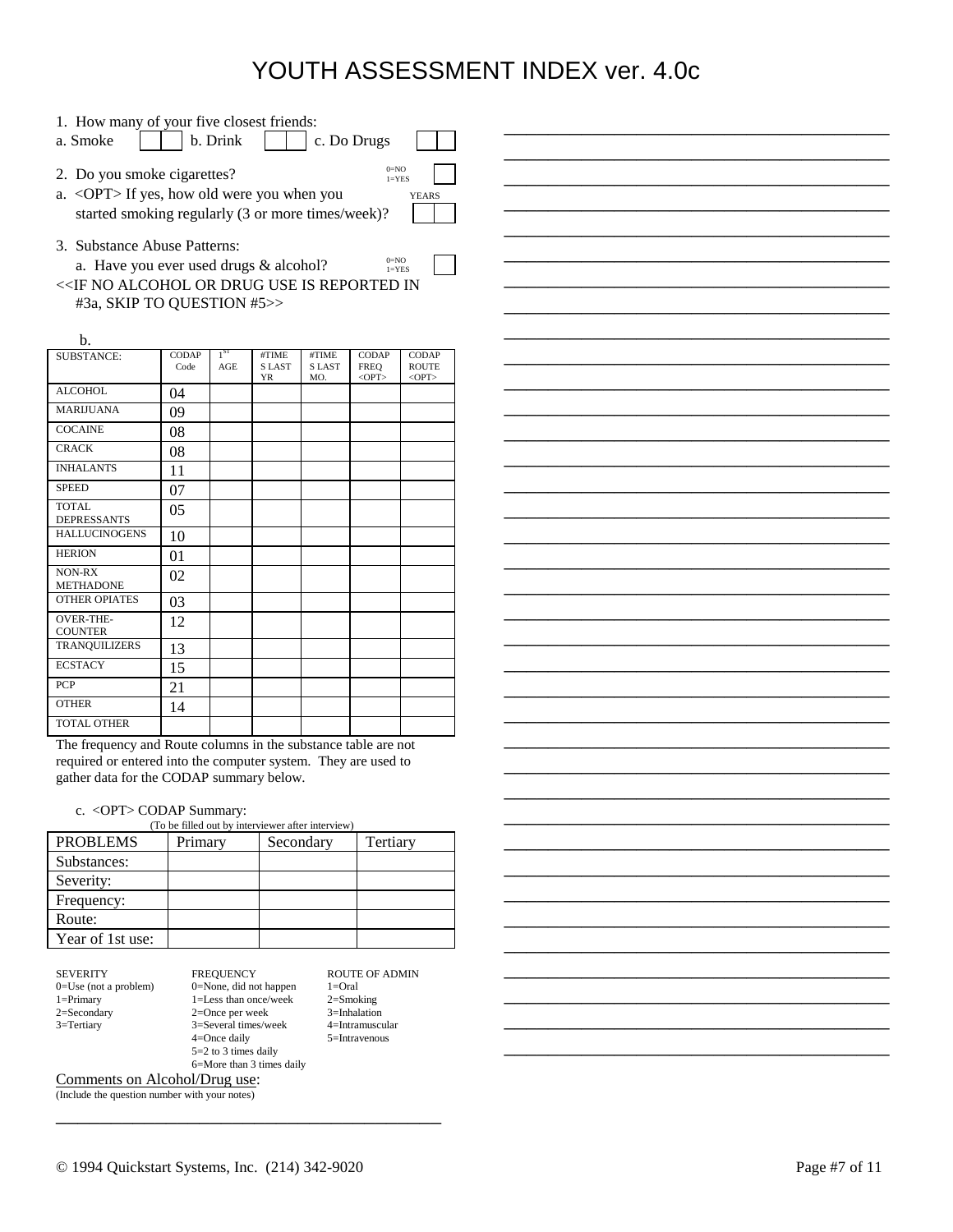\_\_\_\_\_\_\_\_\_\_\_\_\_\_\_\_\_\_\_\_\_\_\_\_\_\_\_\_\_\_\_\_\_\_\_ \_\_\_\_\_\_\_\_\_\_\_\_\_\_\_\_\_\_\_\_\_\_\_\_\_\_\_\_\_\_\_\_\_\_\_ \_\_\_\_\_\_\_\_\_\_\_\_\_\_\_\_\_\_\_\_\_\_\_\_\_\_\_\_\_\_\_\_\_\_\_ \_\_\_\_\_\_\_\_\_\_\_\_\_\_\_\_\_\_\_\_\_\_\_\_\_\_\_\_\_\_\_\_\_\_\_ \_\_\_\_\_\_\_\_\_\_\_\_\_\_\_\_\_\_\_\_\_\_\_\_\_\_\_\_\_\_\_\_\_\_\_ \_\_\_\_\_\_\_\_\_\_\_\_\_\_\_\_\_\_\_\_\_\_\_\_\_\_\_\_\_\_\_\_\_\_\_ \_\_\_\_\_\_\_\_\_\_\_\_\_\_\_\_\_\_\_\_\_\_\_\_\_\_\_\_\_\_\_\_\_\_\_ \_\_\_\_\_\_\_\_\_\_\_\_\_\_\_\_\_\_\_\_\_\_\_\_\_\_\_\_\_\_\_\_\_\_\_ \_\_\_\_\_\_\_\_\_\_\_\_\_\_\_\_\_\_\_\_\_\_\_\_\_\_\_\_\_\_\_\_\_\_\_ \_\_\_\_\_\_\_\_\_\_\_\_\_\_\_\_\_\_\_\_\_\_\_\_\_\_\_\_\_\_\_\_\_\_\_ \_\_\_\_\_\_\_\_\_\_\_\_\_\_\_\_\_\_\_\_\_\_\_\_\_\_\_\_\_\_\_\_\_\_\_ \_\_\_\_\_\_\_\_\_\_\_\_\_\_\_\_\_\_\_\_\_\_\_\_\_\_\_\_\_\_\_\_\_\_\_ \_\_\_\_\_\_\_\_\_\_\_\_\_\_\_\_\_\_\_\_\_\_\_\_\_\_\_\_\_\_\_\_\_\_\_ \_\_\_\_\_\_\_\_\_\_\_\_\_\_\_\_\_\_\_\_\_\_\_\_\_\_\_\_\_\_\_\_\_\_\_ \_\_\_\_\_\_\_\_\_\_\_\_\_\_\_\_\_\_\_\_\_\_\_\_\_\_\_\_\_\_\_\_\_\_\_ \_\_\_\_\_\_\_\_\_\_\_\_\_\_\_\_\_\_\_\_\_\_\_\_\_\_\_\_\_\_\_\_\_\_\_ \_\_\_\_\_\_\_\_\_\_\_\_\_\_\_\_\_\_\_\_\_\_\_\_\_\_\_\_\_\_\_\_\_\_\_ \_\_\_\_\_\_\_\_\_\_\_\_\_\_\_\_\_\_\_\_\_\_\_\_\_\_\_\_\_\_\_\_\_\_\_ \_\_\_\_\_\_\_\_\_\_\_\_\_\_\_\_\_\_\_\_\_\_\_\_\_\_\_\_\_\_\_\_\_\_\_ \_\_\_\_\_\_\_\_\_\_\_\_\_\_\_\_\_\_\_\_\_\_\_\_\_\_\_\_\_\_\_\_\_\_\_ \_\_\_\_\_\_\_\_\_\_\_\_\_\_\_\_\_\_\_\_\_\_\_\_\_\_\_\_\_\_\_\_\_\_\_ \_\_\_\_\_\_\_\_\_\_\_\_\_\_\_\_\_\_\_\_\_\_\_\_\_\_\_\_\_\_\_\_\_\_\_ \_\_\_\_\_\_\_\_\_\_\_\_\_\_\_\_\_\_\_\_\_\_\_\_\_\_\_\_\_\_\_\_\_\_\_ \_\_\_\_\_\_\_\_\_\_\_\_\_\_\_\_\_\_\_\_\_\_\_\_\_\_\_\_\_\_\_\_\_\_\_ \_\_\_\_\_\_\_\_\_\_\_\_\_\_\_\_\_\_\_\_\_\_\_\_\_\_\_\_\_\_\_\_\_\_\_ \_\_\_\_\_\_\_\_\_\_\_\_\_\_\_\_\_\_\_\_\_\_\_\_\_\_\_\_\_\_\_\_\_\_\_ \_\_\_\_\_\_\_\_\_\_\_\_\_\_\_\_\_\_\_\_\_\_\_\_\_\_\_\_\_\_\_\_\_\_\_ \_\_\_\_\_\_\_\_\_\_\_\_\_\_\_\_\_\_\_\_\_\_\_\_\_\_\_\_\_\_\_\_\_\_\_ \_\_\_\_\_\_\_\_\_\_\_\_\_\_\_\_\_\_\_\_\_\_\_\_\_\_\_\_\_\_\_\_\_\_\_ \_\_\_\_\_\_\_\_\_\_\_\_\_\_\_\_\_\_\_\_\_\_\_\_\_\_\_\_\_\_\_\_\_\_\_ \_\_\_\_\_\_\_\_\_\_\_\_\_\_\_\_\_\_\_\_\_\_\_\_\_\_\_\_\_\_\_\_\_\_\_ \_\_\_\_\_\_\_\_\_\_\_\_\_\_\_\_\_\_\_\_\_\_\_\_\_\_\_\_\_\_\_\_\_\_\_ \_\_\_\_\_\_\_\_\_\_\_\_\_\_\_\_\_\_\_\_\_\_\_\_\_\_\_\_\_\_\_\_\_\_\_ \_\_\_\_\_\_\_\_\_\_\_\_\_\_\_\_\_\_\_\_\_\_\_\_\_\_\_\_\_\_\_\_\_\_\_ \_\_\_\_\_\_\_\_\_\_\_\_\_\_\_\_\_\_\_\_\_\_\_\_\_\_\_\_\_\_\_\_\_\_\_ \_\_\_\_\_\_\_\_\_\_\_\_\_\_\_\_\_\_\_\_\_\_\_\_\_\_\_\_\_\_\_\_\_\_\_ \_\_\_\_\_\_\_\_\_\_\_\_\_\_\_\_\_\_\_\_\_\_\_\_\_\_\_\_\_\_\_\_\_\_\_

| 1. How many of your five closest friends:<br>a. Smoke                                                                                                                            |                      | b. Drink               |                             |                              | c. Do Drugs                         |                                             |
|----------------------------------------------------------------------------------------------------------------------------------------------------------------------------------|----------------------|------------------------|-----------------------------|------------------------------|-------------------------------------|---------------------------------------------|
| 2. Do you smoke cigarettes?<br>a. < OPT> If yes, how old were you when you<br>started smoking regularly (3 or more times/week)?                                                  |                      |                        |                             |                              | $0=NO$<br>$1 = YES$                 | <b>YEARS</b>                                |
| 3. Substance Abuse Patterns:<br>$0=NO$<br>a. Have you ever used drugs & alcohol?<br>$1 = YES$<br><< IF NO ALCOHOL OR DRUG USE IS REPORTED IN<br>#3a, SKIP TO QUESTION #5>><br>b. |                      |                        |                             |                              |                                     |                                             |
| SUBSTANCE:                                                                                                                                                                       | <b>CODAP</b><br>Code | 1 <sup>ST</sup><br>AGE | #TIME<br><b>SLAST</b><br>YR | #TIME<br><b>SLAST</b><br>MO. | <b>CODAP</b><br>FREO<br>$<$ OPT $>$ | <b>CODAP</b><br><b>ROUTE</b><br>$<$ OPT $>$ |
| <b>ALCOHOL</b>                                                                                                                                                                   | 04                   |                        |                             |                              |                                     |                                             |
| <b>MARIJUANA</b>                                                                                                                                                                 | 09                   |                        |                             |                              |                                     |                                             |
| <b>COCAINE</b>                                                                                                                                                                   | 08                   |                        |                             |                              |                                     |                                             |
| <b>CRACK</b>                                                                                                                                                                     | 08                   |                        |                             |                              |                                     |                                             |
| <b>INHALANTS</b>                                                                                                                                                                 | 11                   |                        |                             |                              |                                     |                                             |
| <b>SPEED</b>                                                                                                                                                                     | 07                   |                        |                             |                              |                                     |                                             |
| TOTAL<br><b>DEPRESSANTS</b>                                                                                                                                                      | 05                   |                        |                             |                              |                                     |                                             |
| <b>HALLUCINOGENS</b>                                                                                                                                                             | 10                   |                        |                             |                              |                                     |                                             |
| <b>HERION</b>                                                                                                                                                                    | 01                   |                        |                             |                              |                                     |                                             |
| NON-RX<br><b>METHADONE</b>                                                                                                                                                       | 02                   |                        |                             |                              |                                     |                                             |
| <b>OTHER OPIATES</b>                                                                                                                                                             | 03                   |                        |                             |                              |                                     |                                             |
| <b>OVER-THE-</b><br><b>COUNTER</b>                                                                                                                                               | 12                   |                        |                             |                              |                                     |                                             |

TOTAL OTHER The frequency and Route columns in the substance table are not required or entered into the computer system. They are used to gather data for the CODAP summary below.

### c. <OPT> CODAP Summary:

21

TRANQUILIZERS 13 ECSTACY 15

OTHER 14

| (To be filled out by interviewer after interview) |         |           |          |  |
|---------------------------------------------------|---------|-----------|----------|--|
| <b>PROBLEMS</b>                                   | Primary | Secondary | Tertiary |  |
| Substances:                                       |         |           |          |  |
| Severity:                                         |         |           |          |  |
| Frequency:                                        |         |           |          |  |
| Route:                                            |         |           |          |  |
| Year of 1st use:                                  |         |           |          |  |

| <b>SEVERITY</b>         |
|-------------------------|
| $0=$ Use (not a problem |
| $1 =$ Primary           |
| $2 =$ Secondary         |
| $3 = Tertiary$          |
|                         |

| <b>SEVERITY</b>          | <b>FREQUENCY</b>            | <b>ROUTE OF ADMIN</b> |
|--------------------------|-----------------------------|-----------------------|
| $0=$ Use (not a problem) | $0 = None$ , did not happen | $1 =$ Oral            |
| $1 =$ Primary            | $1 =$ Less than once/week   | $2 =$ Smoking         |
| 2=Secondary              | $2$ =Once per week          | $3$ =Inhalation       |
| 3=Tertiary               | 3=Several times/week        | $4$ =Intramuscular    |
|                          | $4 =$ Once daily            | 5=Intravenous         |
|                          | $5=2$ to 3 times daily      |                       |
|                          | 6=More than 3 times daily   |                       |
|                          |                             |                       |

\_\_\_\_\_\_\_\_\_\_\_\_\_\_\_\_\_\_\_\_\_\_\_\_\_\_\_\_\_\_\_\_\_\_\_

Comments on Alcohol/Drug use:

(Include the question number with your notes)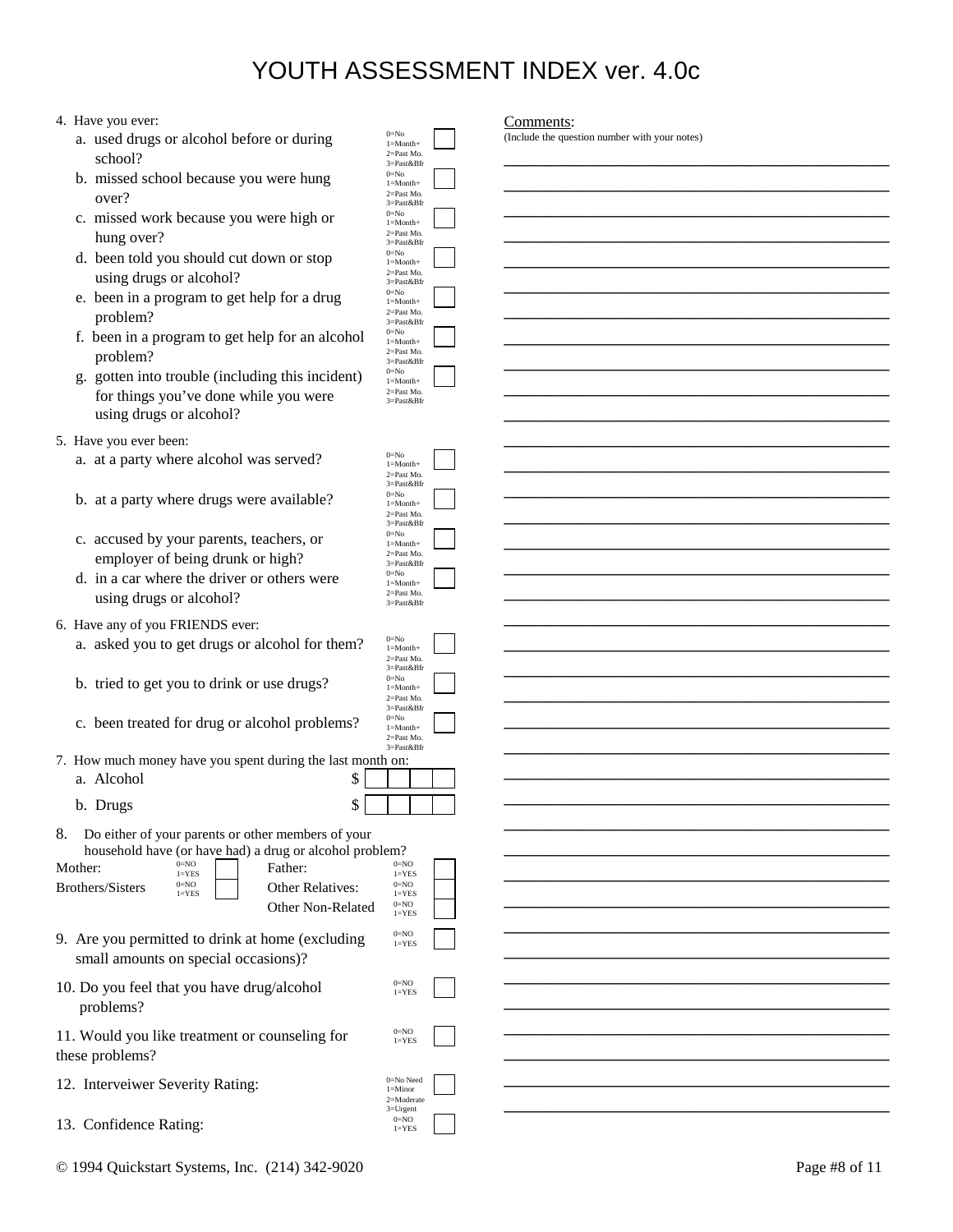#### 4. Have you ever:

- a. used drugs or alcohol before or during  $0=N_0$ <br> $\geq N_0$   $1=100$ school?
- b. missed school because you were hung  $over?$  2=Past Mo.<br>3=Past&Bfr
	- c. missed work because you were high or hung over?
	- d. been told you should cut down or stop using drugs or alcohol?
	- e. been in a program to get help for a drug problem?
	- f. been in a program to get help for an alcohol problem?
	- g. gotten into trouble (including this incident) for things you've done while you were using drugs or alcohol?
- 5. Have you ever been:
	- a. at a party where alcohol was served?
	- b. at a party where drugs were available?
	- c. accused by your parents, teachers, or employer of being drunk or high?
	- d. in a car where the driver or others were using drugs or alcohol?
- 6. Have any of you FRIENDS ever:
	- a. asked you to get drugs or alcohol for them?
	- b. tried to get you to drink or use drugs?
	- c. been treated for drug or alcohol problems?

7. How much money have you spent during the last month

| a. Alcohol | ◡ |  |
|------------|---|--|
| b. Drugs   | D |  |

8. Do either of your parents or other members of your household have (or have had) a drug or alcohol proble

| Mother:<br><b>Brothers/Sisters</b>                                | $0=NO$<br>$1 = YES$<br>$0=NO$<br>$1 = YES$ | Father:<br><b>Other Relatives:</b><br><b>Other Non-Related</b> | $0=NO$<br>$1 = YES$<br>$0=NO$<br>$1 = YES$<br>$0=NO$<br>$1 = YES$ |
|-------------------------------------------------------------------|--------------------------------------------|----------------------------------------------------------------|-------------------------------------------------------------------|
| small amounts on special occasions)?                              |                                            | 9. Are you permitted to drink at home (excluding               | $0=NO$<br>$1 = YES$                                               |
| 10. Do you feel that you have drug/alcohol<br>problems?           |                                            |                                                                | $0 = NO$<br>$1 = YES$                                             |
| 11. Would you like treatment or counseling for<br>these problems? |                                            |                                                                | $0=NO$<br>$1 = YES$                                               |
| 12. Interveiwer Severity Rating:                                  |                                            |                                                                | 0=No Need<br>$l =$ Minor<br>2=Moderate<br>$3 = U$ rgent           |

13. Confidence Rating:

0=No<br>1=Month+ 3=Past&Bfr 1=Month+ 3=Past&Bfr 1=Month+ 3=Past&Bfr 1=Month+ 3=Past&Bfr 1=Month+ 3=Past&Bfr 1=Month+

| (Include the question number with your notes) |  |  |
|-----------------------------------------------|--|--|
|                                               |  |  |

Comments:

| 2=Past Mo.<br>3=Past𝔅                           |  |
|-------------------------------------------------|--|
| $0 = No$                                        |  |
| $1 = Month+$<br>2=Past Mo.                      |  |
| 3=Past𝔅                                         |  |
| $0 = No$<br>$1 = Month+$                        |  |
| 2=Past Mo.<br>3=Past𝔅                           |  |
| $0 = No$                                        |  |
| $l = Month+$<br>2=Past Mo.                      |  |
| 3=Past𝔅                                         |  |
| $0 = No$<br>$1 = M$ onth+                       |  |
| 2=Past Mo.                                      |  |
| 3=Past𝔅<br>$0 = No$                             |  |
| $l = Month+$<br>2=Past Mo.                      |  |
| 3=Past𝔅                                         |  |
| $0 = No$<br>$1 = M$ onth+                       |  |
| 2=Past Mo.                                      |  |
| 3=Past𝔅                                         |  |
|                                                 |  |
|                                                 |  |
| $0 = No$                                        |  |
| $1 = Month +$<br>2=Past Mo.                     |  |
| 3=Past𝔅                                         |  |
| $0 = No$<br>$l = Month+$                        |  |
| 2=Past Mo.<br>$3\!\!=\!\!{\rm Past\𝔅}$          |  |
| $0 = No$                                        |  |
| $l = Month+$<br>2=Past Mo.                      |  |
| 3=Past𝔅                                         |  |
| $0 = No$<br>$l = Month+$                        |  |
| 2=Past Mo.<br>$3\!\!=\!\!{\rm Past}\&{\rm Bfr}$ |  |
|                                                 |  |
|                                                 |  |
| $0 = No$<br>$1 = M$ onth+                       |  |
| 2=Past Mo.                                      |  |
| 3=Past𝔅<br>$0 = No$                             |  |
| $l = Month+$                                    |  |
| 2=Past Mo.<br>3=Past𝔅                           |  |
| $0 = No$<br>$l = Month+$                        |  |
| 2=Past Mo.                                      |  |
| 3=Past𝔅<br>ı on:                                |  |
|                                                 |  |
|                                                 |  |
|                                                 |  |
|                                                 |  |
|                                                 |  |
| em?                                             |  |
| $0 = NO$                                        |  |
| $1 = YES$<br>$0 = NO$                           |  |
| $1 = YES$<br>$0 = NO$                           |  |
| $1 = YES$                                       |  |
| $0 = NQ$                                        |  |
| $1 = YES$                                       |  |
|                                                 |  |
| $0\!\!=\!\!N\mathrm{O}$                         |  |
| $1 = YES$                                       |  |
|                                                 |  |
| $0 = NO$                                        |  |
| $1 = YES$                                       |  |
|                                                 |  |
|                                                 |  |
| $0\!\!=\!\!\textrm{No Need}$<br>$l =$ Minor     |  |
| $2 =$ Moderate<br>$3 = U$ rgent                 |  |
| $0 = NO$                                        |  |
| $1 = YES$                                       |  |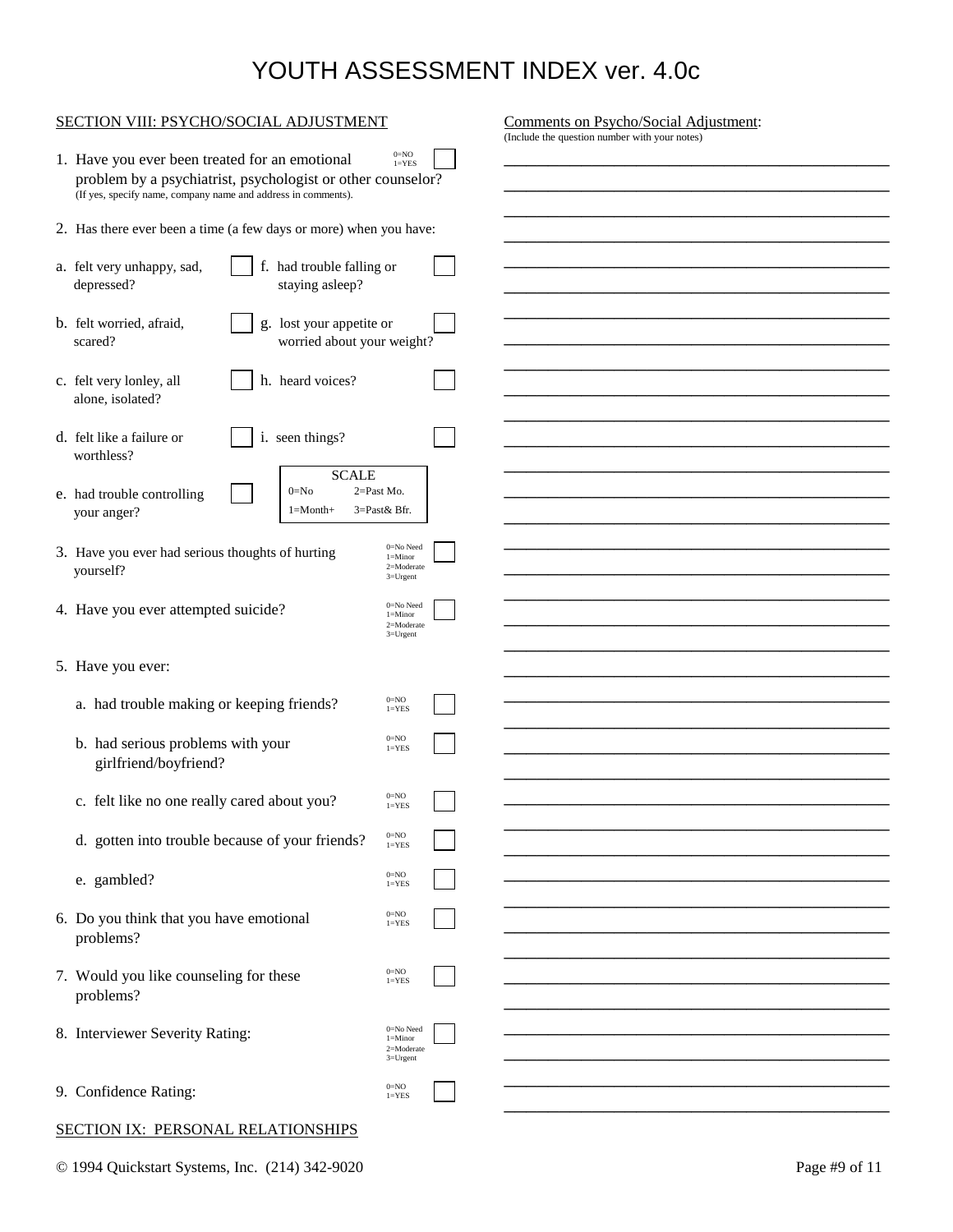| SECTION VIII: PSYCHO/SOCIAL ADJUSTMENT                                                                                                                                                                                                                 |                                                             |  | Comments on Psycho/Social Adjustment: |  |  |
|--------------------------------------------------------------------------------------------------------------------------------------------------------------------------------------------------------------------------------------------------------|-------------------------------------------------------------|--|---------------------------------------|--|--|
| (Include the question number with your notes)<br>$0=NO$<br>1. Have you ever been treated for an emotional<br>$1 = YES$<br>problem by a psychiatrist, psychologist or other counselor?<br>(If yes, specify name, company name and address in comments). |                                                             |  |                                       |  |  |
| 2. Has there ever been a time (a few days or more) when you have:                                                                                                                                                                                      |                                                             |  |                                       |  |  |
| a. felt very unhappy, sad,<br>f. had trouble falling or<br>depressed?<br>staying asleep?                                                                                                                                                               |                                                             |  |                                       |  |  |
| b. felt worried, afraid,<br>lost your appetite or<br>g.<br>worried about your weight?<br>scared?                                                                                                                                                       |                                                             |  |                                       |  |  |
| h. heard voices?<br>c. felt very lonley, all<br>alone, isolated?                                                                                                                                                                                       |                                                             |  |                                       |  |  |
| i. seen things?<br>d. felt like a failure or<br>worthless?                                                                                                                                                                                             |                                                             |  |                                       |  |  |
| <b>SCALE</b><br>$2=$ Past Mo.<br>$0=N0$<br>e. had trouble controlling<br>your anger?<br>$1 = Month+$                                                                                                                                                   | 3=Past& Bfr.                                                |  |                                       |  |  |
| 3. Have you ever had serious thoughts of hurting<br>yourself?                                                                                                                                                                                          | $0 = No$ Need<br>$l =$ Minor<br>2=Moderate<br>$3 = U$ rgent |  |                                       |  |  |
| 4. Have you ever attempted suicide?                                                                                                                                                                                                                    | 0=No Need<br>$l =$ Minor<br>2=Moderate<br>$3 = U$ rgent     |  |                                       |  |  |
| 5. Have you ever:                                                                                                                                                                                                                                      |                                                             |  |                                       |  |  |
| a. had trouble making or keeping friends?                                                                                                                                                                                                              | $0=NO$<br>$1 = YES$                                         |  |                                       |  |  |
| b. had serious problems with your<br>girlfriend/boyfriend?                                                                                                                                                                                             | $0 = NO$<br>$1 = YES$                                       |  |                                       |  |  |
| c. felt like no one really cared about you?                                                                                                                                                                                                            | $0=NO$                                                      |  |                                       |  |  |
|                                                                                                                                                                                                                                                        | $1 = YES$<br>$0=NO$                                         |  |                                       |  |  |
| d. gotten into trouble because of your friends?                                                                                                                                                                                                        | $1 = YES$                                                   |  |                                       |  |  |
| e. gambled?                                                                                                                                                                                                                                            | $0 = NO$<br>$1 = YES$                                       |  |                                       |  |  |
| 6. Do you think that you have emotional<br>problems?                                                                                                                                                                                                   | $0=NO$<br>$1 = YES$                                         |  |                                       |  |  |
| 7. Would you like counseling for these                                                                                                                                                                                                                 | $0=NO$<br>$1 = YES$                                         |  |                                       |  |  |
| problems?                                                                                                                                                                                                                                              |                                                             |  |                                       |  |  |
| 8. Interviewer Severity Rating:                                                                                                                                                                                                                        | $0 = No$ Need<br>$l =$ Minor<br>2=Moderate<br>$3 = U$ rgent |  |                                       |  |  |
| 9. Confidence Rating:                                                                                                                                                                                                                                  | $0=NO$<br>$1 = YES$                                         |  |                                       |  |  |
|                                                                                                                                                                                                                                                        |                                                             |  |                                       |  |  |

### SECTION IX: PERSONAL RELATIONSHIPS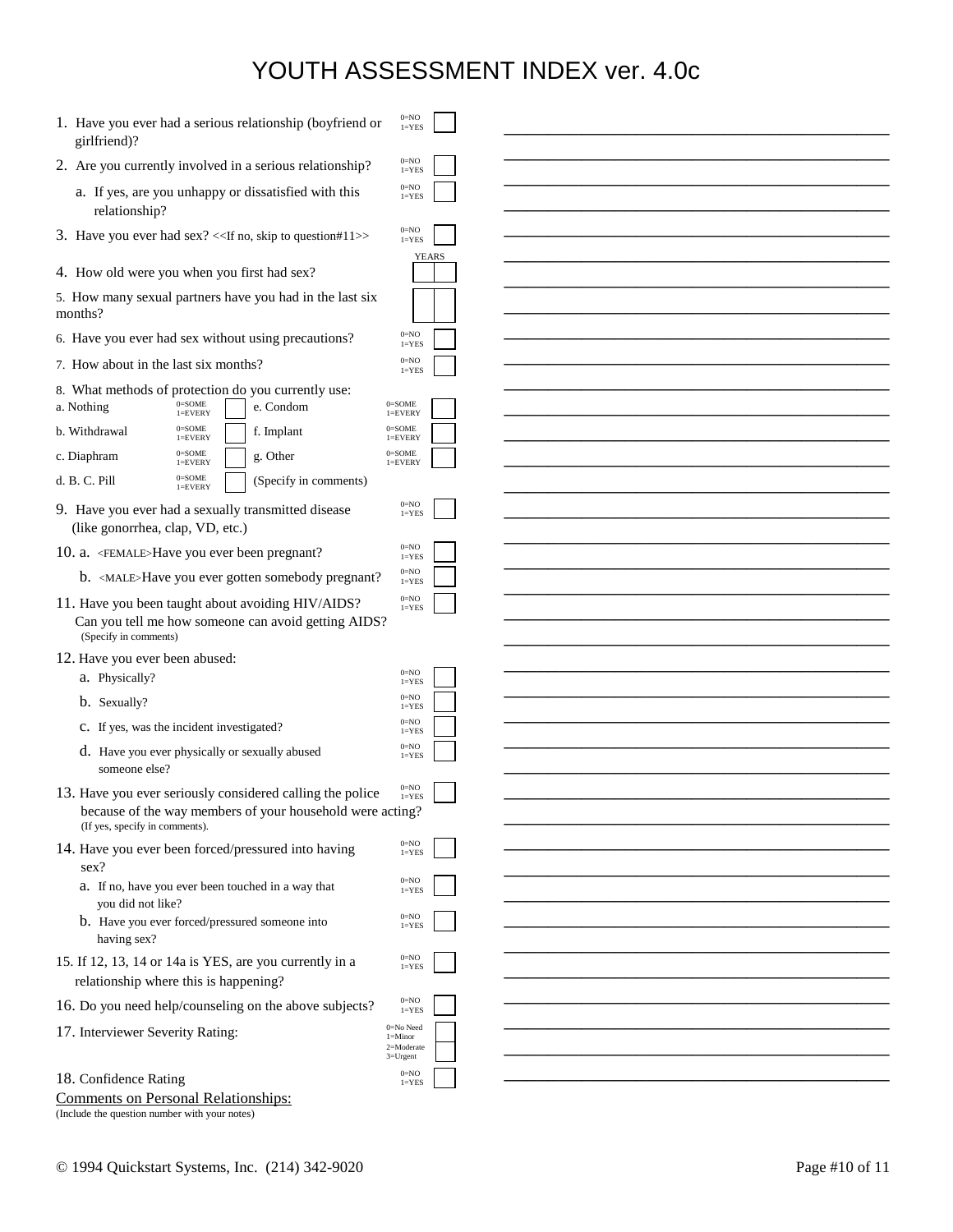| 1. Have you ever had a serious relationship (boyfriend or<br>girlfriend)?                    | $0 = NO$<br>$1 = YES$       |              |  |
|----------------------------------------------------------------------------------------------|-----------------------------|--------------|--|
| 2. Are you currently involved in a serious relationship?                                     | $0 = NO$<br>$1 = YES$       |              |  |
| a. If yes, are you unhappy or dissatisfied with this                                         | $0=NO$<br>$1 = YES$         |              |  |
| relationship?                                                                                |                             |              |  |
| 3. Have you ever had sex? << If no, skip to question#11>>                                    | $0=NO$<br>$1 = YES$         |              |  |
| 4. How old were you when you first had sex?                                                  |                             | <b>YEARS</b> |  |
| 5. How many sexual partners have you had in the last six                                     |                             |              |  |
| months?                                                                                      |                             |              |  |
| 6. Have you ever had sex without using precautions?                                          | $0=NO$<br>$1 = YES$         |              |  |
| 7. How about in the last six months?                                                         | $0=NO$<br>$1 = YES$         |              |  |
| 8. What methods of protection do you currently use:<br>$0 =$ SOME<br>a. Nothing<br>e. Condom | $0 =$ SOME                  |              |  |
| $1 =$ EVERY<br>$0 = SOME$<br>b. Withdrawal<br>f. Implant                                     | $1 =$ EVERY<br>$0 = SOME$   |              |  |
| $l =$ EVERY<br>$0 =$ SOME<br>g. Other<br>c. Diaphram                                         | $l =$ EVERY<br>$0 =$ SOME   |              |  |
| $l =$ EVERY<br>$0 =$ SOME<br>d. B. C. Pill<br>(Specify in comments)                          | $l =$ EVERY                 |              |  |
| $l =$ EVERY                                                                                  | $0=NO$                      |              |  |
| 9. Have you ever had a sexually transmitted disease<br>(like gonorrhea, clap, VD, etc.)      | $1 = YES$                   |              |  |
| 10. a. <female>Have you ever been pregnant?</female>                                         | $0=NO$<br>$1 = YES$         |              |  |
| b. <male>Have you ever gotten somebody pregnant?</male>                                      | $0=NO$<br>$l = YES$         |              |  |
| 11. Have you been taught about avoiding HIV/AIDS?                                            | $0=NO$<br>$1 = YES$         |              |  |
| Can you tell me how someone can avoid getting AIDS?<br>(Specify in comments)                 |                             |              |  |
| 12. Have you ever been abused:                                                               |                             |              |  |
| a. Physically?                                                                               | $0=NO$<br>$1 = YES$         |              |  |
| b. Sexually?                                                                                 | $0=NO$<br>$1 = YES$         |              |  |
| c. If yes, was the incident investigated?                                                    | $0=NO$<br>$1 = YES$         |              |  |
| d. Have you ever physically or sexually abused<br>someone else?                              | $0=NO$<br>$l = YES$         |              |  |
| 13. Have you ever seriously considered calling the police                                    | $0=NO$<br>$1 = YES$         |              |  |
| because of the way members of your household were acting?<br>(If yes, specify in comments).  |                             |              |  |
| 14. Have you ever been forced/pressured into having                                          | $0=NO$<br>$1 = YES$         |              |  |
| sex?                                                                                         |                             |              |  |
| a. If no, have you ever been touched in a way that<br>you did not like?                      | $0 = NO$<br>$1 = YES$       |              |  |
| b. Have you ever forced/pressured someone into<br>having sex?                                | $0 = NO$<br>$1 = YES$       |              |  |
| 15. If 12, 13, 14 or 14a is YES, are you currently in a                                      | $0=NO$<br>$1 = YES$         |              |  |
| relationship where this is happening?                                                        |                             |              |  |
| 16. Do you need help/counseling on the above subjects?                                       | $0 = NO$<br>$1 = YES$       |              |  |
| 17. Interviewer Severity Rating:                                                             | 0=No Need<br>$1 =$ Minor    |              |  |
|                                                                                              | 2=Moderate<br>$3 = U$ rgent |              |  |
| 18. Confidence Rating                                                                        | $0=NO$<br>$l = YES$         |              |  |

|  | Comments on Personal Relationships: |  |
|--|-------------------------------------|--|
|  |                                     |  |

(Include the question number with your notes)